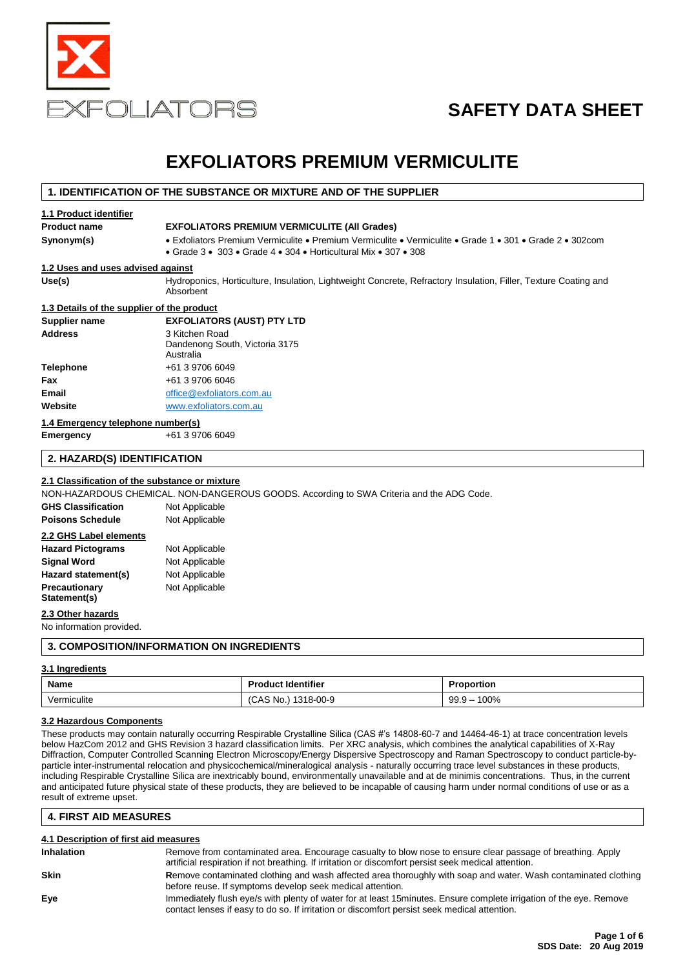

# **SAFETY DATA SHEET**

# **EXFOLIATORS PREMIUM VERMICULITE**

### **1. IDENTIFICATION OF THE SUBSTANCE OR MIXTURE AND OF THE SUPPLIER**

#### **1.1 Product identifier**

### **Product name EXFOLIATORS PREMIUM VERMICULITE (All Grades)**

**Synonym(s)** • Exfoliators Premium Vermiculite • Premium Vermiculite • Vermiculite • Grade 1 • 301 • Grade 2 • 302com

• Grade 3 • 303 • Grade 4 • 304 • Horticultural Mix • 307 • 308

### **1.2 Uses and uses advised against**

Use(s) **Hydroponics, Horticulture, Insulation, Lightweight Concrete, Refractory Insulation, Filler, Texture Coating and** Absorbent

### **1.3 Details of the supplier of the product**

| <b>Supplier name</b>              | <b>EXFOLIATORS (AUST) PTY LTD</b>                             |
|-----------------------------------|---------------------------------------------------------------|
| <b>Address</b>                    | 3 Kitchen Road<br>Dandenong South, Victoria 3175<br>Australia |
| <b>Telephone</b>                  | +61 3 9706 6049                                               |
| <b>Fax</b>                        | +61 3 9706 6046                                               |
| Email                             | office@exfoliators.com.au                                     |
| Website                           | www.exfoliators.com.au                                        |
| 1.4 Emergency telephone number(s) |                                                               |

**Emergency** +61 3 9706 6049

### **2. HAZARD(S) IDENTIFICATION**

### **2.1 Classification of the substance or mixture**

NON-HAZARDOUS CHEMICAL. NON-DANGEROUS GOODS. According to SWA Criteria and the ADG Code.

| <b>GHS Classification</b> | Not Applicable |
|---------------------------|----------------|
| <b>Poisons Schedule</b>   | Not Applicable |
| 2.2 GHS Label elements    |                |
| <b>Hazard Pictograms</b>  | Not Applicable |
| <b>Signal Word</b>        | Not Applicable |
| Hazard statement(s)       | Not Applicable |
| Precautionary             | Not Applicable |
| Statement(s)              |                |

### **2.3 Other hazards**

No information provided.

### **3. COMPOSITION/INFORMATION ON INGREDIENTS**

### **3.1 Ingredients**

| Name                    | <b>Product Identifier</b>         | roportion<br>.           |  |
|-------------------------|-----------------------------------|--------------------------|--|
| $\cdots$<br>Vermiculite | 1318-00-9<br>No.<br>CAS<br>$\sim$ | 100%<br>99.9<br>$-$<br>. |  |

### **3.2 Hazardous Components**

These products may contain naturally occurring Respirable Crystalline Silica (CAS #'s 14808-60-7 and 14464-46-1) at trace concentration levels below HazCom 2012 and GHS Revision 3 hazard classification limits. Per XRC analysis, which combines the analytical capabilities of X-Ray Diffraction, Computer Controlled Scanning Electron Microscopy/Energy Dispersive Spectroscopy and Raman Spectroscopy to conduct particle-byparticle inter-instrumental relocation and physicochemical/mineralogical analysis - naturally occurring trace level substances in these products, including Respirable Crystalline Silica are inextricably bound, environmentally unavailable and at de minimis concentrations. Thus, in the current and anticipated future physical state of these products, they are believed to be incapable of causing harm under normal conditions of use or as a result of extreme upset.

### **4. FIRST AID MEASURES**

### **4.1 Description of first aid measures Inhalation** Remove from contaminated area. Encourage casualty to blow nose to ensure clear passage of breathing. Apply artificial respiration if not breathing. If irritation or discomfort persist seek medical attention. **Skin Remove contaminated clothing and wash affected area thoroughly with soap and water. Wash contaminated clothing** before reuse. If symptoms develop seek medical attention. **Eye Immediately flush eye/s with plenty of water for at least 15minutes. Ensure complete irrigation of the eye. Remove** contact lenses if easy to do so. If irritation or discomfort persist seek medical attention.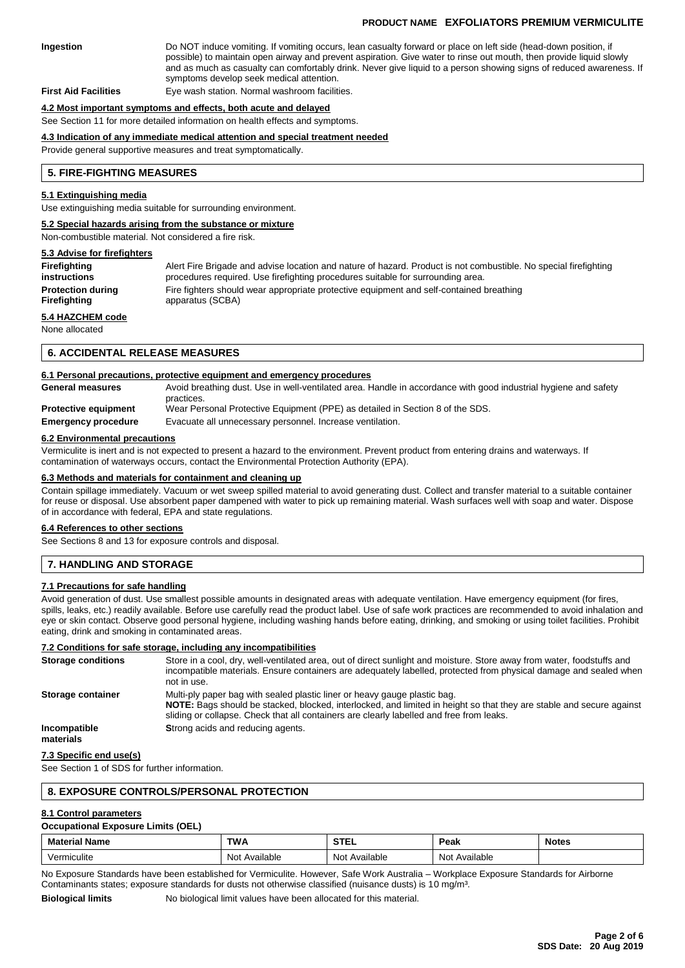### **PRODUCT NAME EXFOLIATORS PREMIUM VERMICULITE**

**Ingestion** Do NOT induce vomiting. If vomiting occurs, lean casualty forward or place on left side (head-down position, if possible) to maintain open airway and prevent aspiration. Give water to rinse out mouth, then provide liquid slowly and as much as casualty can comfortably drink. Never give liquid to a person showing signs of reduced awareness. If symptoms develop seek medical attention.

**First Aid Facilities** Eye wash station. Normal washroom facilities.

#### **4.2 Most important symptoms and effects, both acute and delayed**

See Section 11 for more detailed information on health effects and symptoms.

#### **4.3 Indication of any immediate medical attention and special treatment needed**

Provide general supportive measures and treat symptomatically.

#### **5. FIRE-FIGHTING MEASURES**

#### **5.1 Extinguishing media**

Use extinguishing media suitable for surrounding environment.

#### **5.2 Special hazards arising from the substance or mixture**

Non-combustible material. Not considered a fire risk.

#### **5.3 Advise for firefighters**

| Firefighting             | Alert Fire Brigade and advise location and nature of hazard. Product is not combustible. No special firefighting |
|--------------------------|------------------------------------------------------------------------------------------------------------------|
| instructions             | procedures required. Use firefighting procedures suitable for surrounding area.                                  |
| <b>Protection during</b> | Fire fighters should wear appropriate protective equipment and self-contained breathing                          |
| Firefighting             | apparatus (SCBA)                                                                                                 |
| 5.4 HAZCHEM code         |                                                                                                                  |

None allocated

#### **6. ACCIDENTAL RELEASE MEASURES**

#### **6.1 Personal precautions, protective equipment and emergency procedures**

| <b>General measures</b>     | Avoid breathing dust. Use in well-ventilated area. Handle in accordance with good industrial hygiene and safety |
|-----------------------------|-----------------------------------------------------------------------------------------------------------------|
|                             | practices.                                                                                                      |
| <b>Protective equipment</b> | Wear Personal Protective Equipment (PPE) as detailed in Section 8 of the SDS.                                   |
| <b>Emergency procedure</b>  | Evacuate all unnecessary personnel. Increase ventilation.                                                       |
|                             |                                                                                                                 |

#### **6.2 Environmental precautions**

Vermiculite is inert and is not expected to present a hazard to the environment. Prevent product from entering drains and waterways. If contamination of waterways occurs, contact the Environmental Protection Authority (EPA).

### **6.3 Methods and materials for containment and cleaning up**

Contain spillage immediately. Vacuum or wet sweep spilled material to avoid generating dust. Collect and transfer material to a suitable container for reuse or disposal. Use absorbent paper dampened with water to pick up remaining material. Wash surfaces well with soap and water. Dispose of in accordance with federal, EPA and state regulations.

#### **6.4 References to other sections**

See Sections 8 and 13 for exposure controls and disposal.

### **7. HANDLING AND STORAGE**

### **7.1 Precautions for safe handling**

Avoid generation of dust. Use smallest possible amounts in designated areas with adequate ventilation. Have emergency equipment (for fires, spills, leaks, etc.) readily available. Before use carefully read the product label. Use of safe work practices are recommended to avoid inhalation and eye or skin contact. Observe good personal hygiene, including washing hands before eating, drinking, and smoking or using toilet facilities. Prohibit eating, drink and smoking in contaminated areas.

#### **7.2 Conditions for safe storage, including any incompatibilities**

| <b>Storage conditions</b> | Store in a cool, dry, well-ventilated area, out of direct sunlight and moisture. Store away from water, foodstuffs and<br>incompatible materials. Ensure containers are adequately labelled, protected from physical damage and sealed when<br>not in use.                                    |
|---------------------------|-----------------------------------------------------------------------------------------------------------------------------------------------------------------------------------------------------------------------------------------------------------------------------------------------|
| Storage container         | Multi-ply paper bag with sealed plastic liner or heavy gauge plastic bag.<br>NOTE: Bags should be stacked, blocked, interlocked, and limited in height so that they are stable and secure against<br>sliding or collapse. Check that all containers are clearly labelled and free from leaks. |
| Incompatible<br>materials | Strong acids and reducing agents.                                                                                                                                                                                                                                                             |

### **7.3 Specific end use(s)**

See Section 1 of SDS for further information.

### **8. EXPOSURE CONTROLS/PERSONAL PROTECTION**

### **8.1 Control parameters**

### **Occupational Exposure Limits (OEL)**

| Ma.      | <b>TW</b><br> | .        | Peak<br>.       | Notes<br>. |
|----------|---------------|----------|-----------------|------------|
| ۳۰ م ۱   | vailable      | vailable | N <sub>10</sub> |            |
| miculite | N۵            | Not      | Available       |            |
|          |               |          | .               |            |

No Exposure Standards have been established for Vermiculite. However, Safe Work Australia – Workplace Exposure Standards for Airborne Contaminants states; exposure standards for dusts not otherwise classified (nuisance dusts) is 10 mg/m³.

**Biological limits** No biological limit values have been allocated for this material.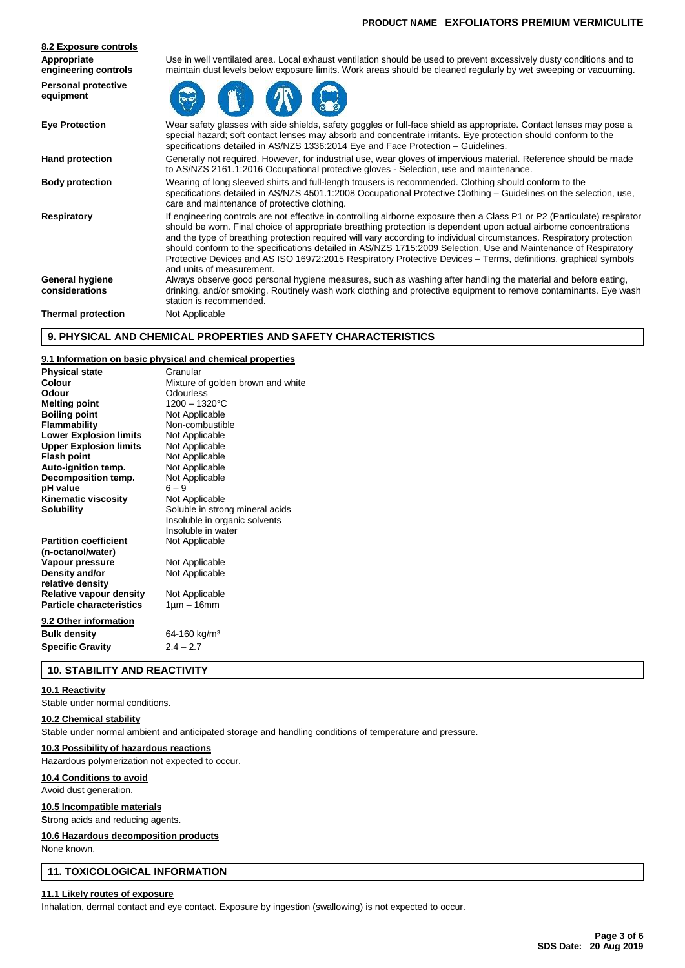| 8.2 Exposure controls                   |                                                                                                                                                                                                                                                                                                                                                                                                                                                                                                                                                                                                                                            |
|-----------------------------------------|--------------------------------------------------------------------------------------------------------------------------------------------------------------------------------------------------------------------------------------------------------------------------------------------------------------------------------------------------------------------------------------------------------------------------------------------------------------------------------------------------------------------------------------------------------------------------------------------------------------------------------------------|
| Appropriate<br>engineering controls     | Use in well ventilated area. Local exhaust ventilation should be used to prevent excessively dusty conditions and to<br>maintain dust levels below exposure limits. Work areas should be cleaned regularly by wet sweeping or vacuuming.                                                                                                                                                                                                                                                                                                                                                                                                   |
| <b>Personal protective</b><br>equipment |                                                                                                                                                                                                                                                                                                                                                                                                                                                                                                                                                                                                                                            |
| <b>Eye Protection</b>                   | Wear safety glasses with side shields, safety goggles or full-face shield as appropriate. Contact lenses may pose a<br>special hazard; soft contact lenses may absorb and concentrate irritants. Eye protection should conform to the<br>specifications detailed in AS/NZS 1336:2014 Eye and Face Protection - Guidelines.                                                                                                                                                                                                                                                                                                                 |
| <b>Hand protection</b>                  | Generally not required. However, for industrial use, wear gloves of impervious material. Reference should be made<br>to AS/NZS 2161.1:2016 Occupational protective gloves - Selection, use and maintenance.                                                                                                                                                                                                                                                                                                                                                                                                                                |
| <b>Body protection</b>                  | Wearing of long sleeved shirts and full-length trousers is recommended. Clothing should conform to the<br>specifications detailed in AS/NZS 4501.1:2008 Occupational Protective Clothing – Guidelines on the selection, use,<br>care and maintenance of protective clothing.                                                                                                                                                                                                                                                                                                                                                               |
| Respiratory                             | If engineering controls are not effective in controlling airborne exposure then a Class P1 or P2 (Particulate) respirator<br>should be worn. Final choice of appropriate breathing protection is dependent upon actual airborne concentrations<br>and the type of breathing protection required will vary according to individual circumstances. Respiratory protection<br>should conform to the specifications detailed in AS/NZS 1715:2009 Selection, Use and Maintenance of Respiratory<br>Protective Devices and AS ISO 16972:2015 Respiratory Protective Devices – Terms, definitions, graphical symbols<br>and units of measurement. |
| General hygiene<br>considerations       | Always observe good personal hygiene measures, such as washing after handling the material and before eating,<br>drinking, and/or smoking. Routinely wash work clothing and protective equipment to remove contaminants. Eye wash<br>station is recommended.                                                                                                                                                                                                                                                                                                                                                                               |
| <b>Thermal protection</b>               | Not Applicable                                                                                                                                                                                                                                                                                                                                                                                                                                                                                                                                                                                                                             |
|                                         |                                                                                                                                                                                                                                                                                                                                                                                                                                                                                                                                                                                                                                            |

### **9. PHYSICAL AND CHEMICAL PROPERTIES AND SAFETY CHARACTERISTICS**

### **9.1 Information on basic physical and chemical properties**

| <b>Physical state</b>           | Granular                          |
|---------------------------------|-----------------------------------|
| Colour                          | Mixture of golden brown and white |
| Odour                           | Odourless                         |
| <b>Melting point</b>            | $1200 - 1320$ °C                  |
| <b>Boiling point</b>            | Not Applicable                    |
| <b>Flammability</b>             | Non-combustible                   |
| <b>Lower Explosion limits</b>   | Not Applicable                    |
| <b>Upper Explosion limits</b>   | Not Applicable                    |
| <b>Flash point</b>              | Not Applicable                    |
| Auto-ignition temp.             | Not Applicable                    |
| Decomposition temp.             | Not Applicable                    |
| pH value                        | $6 - 9$                           |
| Kinematic viscosity             | Not Applicable                    |
| <b>Solubility</b>               | Soluble in strong mineral acids   |
|                                 | Insoluble in organic solvents     |
|                                 | Insoluble in water                |
| <b>Partition coefficient</b>    | Not Applicable                    |
| (n-octanol/water)               |                                   |
| Vapour pressure                 | Not Applicable                    |
| Density and/or                  | Not Applicable                    |
| relative density                |                                   |
| Relative vapour density         | Not Applicable                    |
| <b>Particle characteristics</b> | $1 \mu m - 16 mm$                 |
| 9.2 Other information           |                                   |
| <b>Bulk density</b>             | 64-160 kg/m <sup>3</sup>          |
| <b>Specific Gravity</b>         | $2.4 - 2.7$                       |
|                                 |                                   |

### **10. STABILITY AND REACTIVITY**

### **10.1 Reactivity**

Stable under normal conditions.

## **10.2 Chemical stability**

Stable under normal ambient and anticipated storage and handling conditions of temperature and pressure.

### **10.3 Possibility of hazardous reactions**

Hazardous polymerization not expected to occur.

### **10.4 Conditions to avoid**

Avoid dust generation.

### **10.5 Incompatible materials**

**S**trong acids and reducing agents.

### **10.6 Hazardous decomposition products**

None known.

### **11. TOXICOLOGICAL INFORMATION**

### **11.1 Likely routes of exposure**

Inhalation, dermal contact and eye contact. Exposure by ingestion (swallowing) is not expected to occur.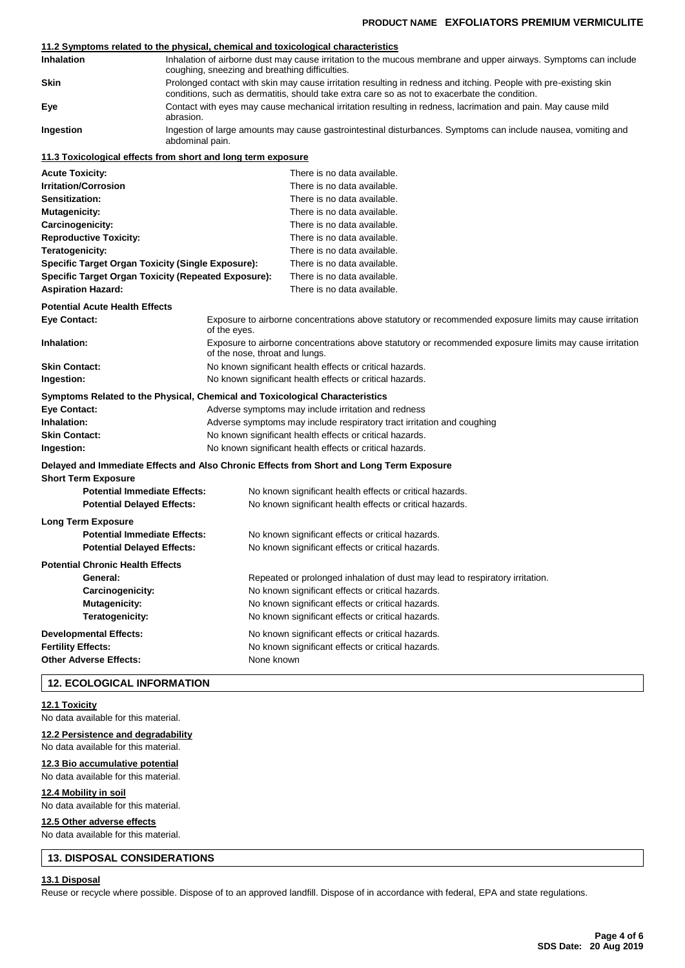### **11.2 Symptoms related to the physical, chemical and toxicological characteristics**

**Mutagenicity:** Mutagenicity: There is no data available.

| <b>Inhalation</b>           | Inhalation of airborne dust may cause irritation to the mucous membrane and upper airways. Symptoms can include<br>coughing, sneezing and breathing difficulties.                                                 |  |  |  |
|-----------------------------|-------------------------------------------------------------------------------------------------------------------------------------------------------------------------------------------------------------------|--|--|--|
| <b>Skin</b>                 | Prolonged contact with skin may cause irritation resulting in redness and itching. People with pre-existing skin<br>conditions, such as dermatitis, should take extra care so as not to exacerbate the condition. |  |  |  |
| Eye                         | Contact with eyes may cause mechanical irritation resulting in redness, lacrimation and pain. May cause mild<br>abrasion.                                                                                         |  |  |  |
| Ingestion                   | Ingestion of large amounts may cause gastrointestinal disturbances. Symptoms can include nausea, vomiting and<br>abdominal pain.                                                                                  |  |  |  |
|                             | 11.3 Toxicological effects from short and long term exposure                                                                                                                                                      |  |  |  |
| <b>Acute Toxicity:</b>      | There is no data available.                                                                                                                                                                                       |  |  |  |
| <b>Irritation/Corrosion</b> | There is no data available.                                                                                                                                                                                       |  |  |  |
| Sensitization:              | There is no data available.                                                                                                                                                                                       |  |  |  |

| Carcinogenicity:                                                             |                                                                                                                                           | There is no data available.                                                              |  |  |
|------------------------------------------------------------------------------|-------------------------------------------------------------------------------------------------------------------------------------------|------------------------------------------------------------------------------------------|--|--|
| <b>Reproductive Toxicity:</b>                                                |                                                                                                                                           | There is no data available.                                                              |  |  |
| Teratogenicity:                                                              |                                                                                                                                           | There is no data available.                                                              |  |  |
| Specific Target Organ Toxicity (Single Exposure):                            |                                                                                                                                           | There is no data available.                                                              |  |  |
| <b>Specific Target Organ Toxicity (Repeated Exposure):</b>                   |                                                                                                                                           | There is no data available.                                                              |  |  |
| <b>Aspiration Hazard:</b>                                                    |                                                                                                                                           | There is no data available.                                                              |  |  |
| <b>Potential Acute Health Effects</b>                                        |                                                                                                                                           |                                                                                          |  |  |
| <b>Eye Contact:</b>                                                          | Exposure to airborne concentrations above statutory or recommended exposure limits may cause irritation<br>of the eyes.                   |                                                                                          |  |  |
| Inhalation:                                                                  | Exposure to airborne concentrations above statutory or recommended exposure limits may cause irritation<br>of the nose, throat and lungs. |                                                                                          |  |  |
| <b>Skin Contact:</b>                                                         |                                                                                                                                           | No known significant health effects or critical hazards.                                 |  |  |
| Ingestion:                                                                   |                                                                                                                                           | No known significant health effects or critical hazards.                                 |  |  |
| Symptoms Related to the Physical, Chemical and Toxicological Characteristics |                                                                                                                                           |                                                                                          |  |  |
| <b>Eye Contact:</b>                                                          |                                                                                                                                           | Adverse symptoms may include irritation and redness                                      |  |  |
| Inhalation:                                                                  |                                                                                                                                           | Adverse symptoms may include respiratory tract irritation and coughing                   |  |  |
| <b>Skin Contact:</b>                                                         | No known significant health effects or critical hazards.                                                                                  |                                                                                          |  |  |
| Ingestion:                                                                   | No known significant health effects or critical hazards.                                                                                  |                                                                                          |  |  |
| <b>Short Term Exposure</b>                                                   |                                                                                                                                           | Delayed and Immediate Effects and Also Chronic Effects from Short and Long Term Exposure |  |  |
| <b>Potential Immediate Effects:</b>                                          |                                                                                                                                           | No known significant health effects or critical hazards.                                 |  |  |
| <b>Potential Delayed Effects:</b>                                            |                                                                                                                                           | No known significant health effects or critical hazards.                                 |  |  |
| <b>Long Term Exposure</b>                                                    |                                                                                                                                           |                                                                                          |  |  |
| <b>Potential Immediate Effects:</b>                                          |                                                                                                                                           | No known significant effects or critical hazards.                                        |  |  |
| <b>Potential Delayed Effects:</b>                                            |                                                                                                                                           | No known significant effects or critical hazards.                                        |  |  |
| <b>Potential Chronic Health Effects</b>                                      |                                                                                                                                           |                                                                                          |  |  |
| General:                                                                     |                                                                                                                                           | Repeated or prolonged inhalation of dust may lead to respiratory irritation.             |  |  |
| Carcinogenicity:                                                             |                                                                                                                                           | No known significant effects or critical hazards.                                        |  |  |
| Mutagenicity:                                                                |                                                                                                                                           | No known significant effects or critical hazards.                                        |  |  |
| Teratogenicity:                                                              |                                                                                                                                           | No known significant effects or critical hazards.                                        |  |  |
| <b>Developmental Effects:</b>                                                |                                                                                                                                           | No known significant effects or critical hazards.                                        |  |  |
| <b>Fertility Effects:</b>                                                    |                                                                                                                                           | No known significant effects or critical hazards.                                        |  |  |
| <b>Other Adverse Effects:</b>                                                | None known                                                                                                                                |                                                                                          |  |  |
|                                                                              |                                                                                                                                           |                                                                                          |  |  |

# **12. ECOLOGICAL INFORMATION**

### **12.1 Toxicity**

No data available for this material.

## **12.2 Persistence and degradability**

No data available for this material.

### **12.3 Bio accumulative potential** No data available for this material.

**12.4 Mobility in soil**

### No data available for this material.

**12.5 Other adverse effects**

No data available for this material.

### **13. DISPOSAL CONSIDERATIONS**

### **13.1 Disposal**

Reuse or recycle where possible. Dispose of to an approved landfill. Dispose of in accordance with federal, EPA and state regulations.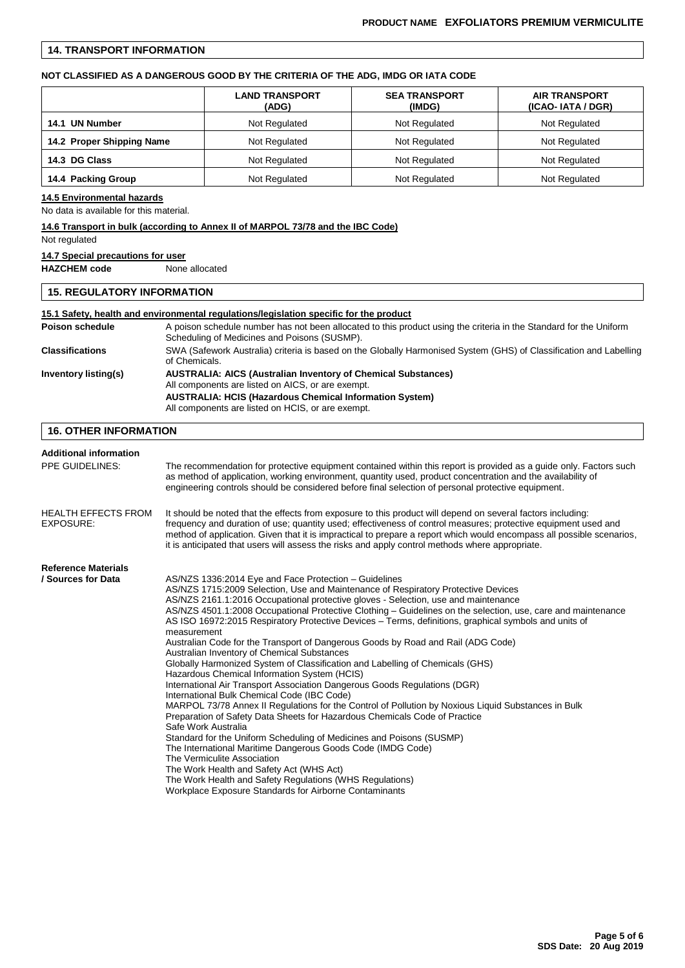### **14. TRANSPORT INFORMATION**

### **NOT CLASSIFIED AS A DANGEROUS GOOD BY THE CRITERIA OF THE ADG, IMDG OR IATA CODE**

|                                            | <b>LAND TRANSPORT</b><br>(ADG) | <b>SEA TRANSPORT</b><br>(IMDG) | <b>AIR TRANSPORT</b><br>(ICAO-IATA / DGR) |
|--------------------------------------------|--------------------------------|--------------------------------|-------------------------------------------|
| Not Regulated<br>14.1 UN Number            |                                | Not Regulated                  | Not Regulated                             |
| 14.2 Proper Shipping Name<br>Not Regulated |                                | Not Regulated                  | Not Regulated                             |
| 14.3 DG Class                              | Not Regulated                  | Not Regulated                  | Not Regulated                             |
| 14.4 Packing Group                         | Not Regulated                  | Not Regulated                  | Not Regulated                             |

#### **14.5 Environmental hazards**

No data is available for this material.

### **14.6 Transport in bulk (according to Annex II of MARPOL 73/78 and the IBC Code)**

### Not regulated

### **14.7 Special precautions for user**

**HAZCHEM code** None allocated

### **15. REGULATORY INFORMATION**

### **15.1 Safety, health and environmental regulations/legislation specific for the product** Poison schedule **A** poison schedule number has not been allocated to this product using the criteria in the Standard for the Uniform Scheduling of Medicines and Poisons (SUSMP). **Classifications** SWA (Safework Australia) criteria is based on the Globally Harmonised System (GHS) of Classification and Labelling of Chemicals. **Inventory listing(s) AUSTRALIA: AICS (Australian Inventory of Chemical Substances)** All components are listed on AICS, or are exempt. **AUSTRALIA: HCIS (Hazardous Chemical Information System)** All components are listed on HCIS, or are exempt. **16. OTHER INFORMATION**

| <b>Additional information</b><br>PPE GUIDELINES:<br><b>HEALTH EFFECTS FROM</b><br><b>EXPOSURE:</b> | The recommendation for protective equipment contained within this report is provided as a guide only. Factors such<br>as method of application, working environment, quantity used, product concentration and the availability of<br>engineering controls should be considered before final selection of personal protective equipment.<br>It should be noted that the effects from exposure to this product will depend on several factors including:<br>frequency and duration of use; quantity used; effectiveness of control measures; protective equipment used and<br>method of application. Given that it is impractical to prepare a report which would encompass all possible scenarios,<br>it is anticipated that users will assess the risks and apply control methods where appropriate.                                                                                                                                                                                                                                                                                                                                                                                                                                                                                                                                                                                                                         |  |  |  |
|----------------------------------------------------------------------------------------------------|------------------------------------------------------------------------------------------------------------------------------------------------------------------------------------------------------------------------------------------------------------------------------------------------------------------------------------------------------------------------------------------------------------------------------------------------------------------------------------------------------------------------------------------------------------------------------------------------------------------------------------------------------------------------------------------------------------------------------------------------------------------------------------------------------------------------------------------------------------------------------------------------------------------------------------------------------------------------------------------------------------------------------------------------------------------------------------------------------------------------------------------------------------------------------------------------------------------------------------------------------------------------------------------------------------------------------------------------------------------------------------------------------------------------------|--|--|--|
|                                                                                                    |                                                                                                                                                                                                                                                                                                                                                                                                                                                                                                                                                                                                                                                                                                                                                                                                                                                                                                                                                                                                                                                                                                                                                                                                                                                                                                                                                                                                                              |  |  |  |
| <b>Reference Materials</b><br>/ Sources for Data                                                   | AS/NZS 1336:2014 Eye and Face Protection - Guidelines<br>AS/NZS 1715:2009 Selection, Use and Maintenance of Respiratory Protective Devices<br>AS/NZS 2161.1:2016 Occupational protective gloves - Selection, use and maintenance<br>AS/NZS 4501.1:2008 Occupational Protective Clothing – Guidelines on the selection, use, care and maintenance<br>AS ISO 16972:2015 Respiratory Protective Devices – Terms, definitions, graphical symbols and units of<br>measurement<br>Australian Code for the Transport of Dangerous Goods by Road and Rail (ADG Code)<br>Australian Inventory of Chemical Substances<br>Globally Harmonized System of Classification and Labelling of Chemicals (GHS)<br>Hazardous Chemical Information System (HCIS)<br>International Air Transport Association Dangerous Goods Regulations (DGR)<br>International Bulk Chemical Code (IBC Code)<br>MARPOL 73/78 Annex II Regulations for the Control of Pollution by Noxious Liquid Substances in Bulk<br>Preparation of Safety Data Sheets for Hazardous Chemicals Code of Practice<br>Safe Work Australia<br>Standard for the Uniform Scheduling of Medicines and Poisons (SUSMP)<br>The International Maritime Dangerous Goods Code (IMDG Code)<br>The Vermiculite Association<br>The Work Health and Safety Act (WHS Act)<br>The Work Health and Safety Regulations (WHS Regulations)<br>Workplace Exposure Standards for Airborne Contaminants |  |  |  |